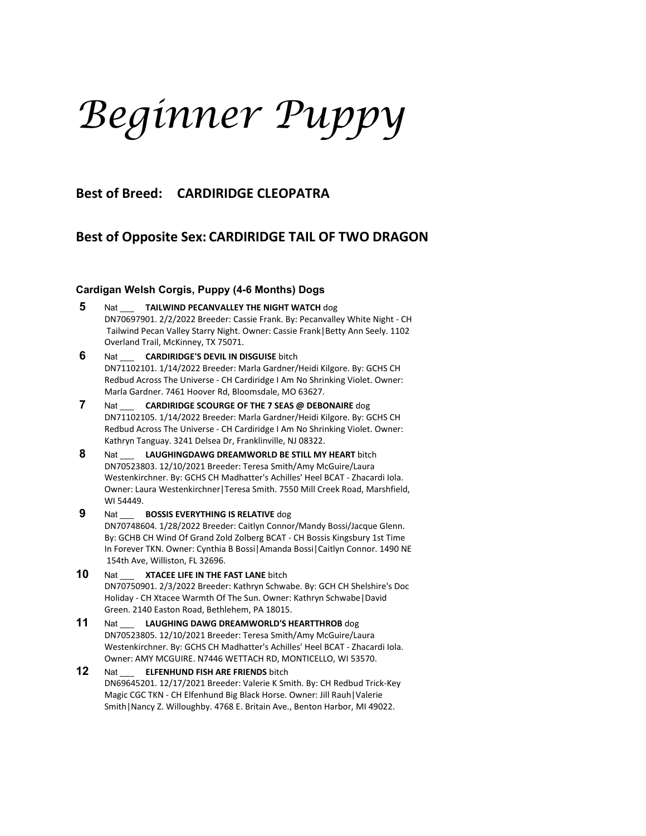# *Beginner Puppy*

**Best of Breed: CARDIRIDGE CLEOPATRA**

## **Best of Opposite Sex: CARDIRIDGE TAIL OF TWO DRAGON**

#### **Cardigan Welsh Corgis, Puppy (4-6 Months) Dogs**

- **5** Nat **TAILWIND PECANVALLEY THE NIGHT WATCH** dog DN70697901. 2/2/2022 Breeder: Cassie Frank. By: Pecanvalley White Night - CH Tailwind Pecan Valley Starry Night. Owner: Cassie Frank|Betty Ann Seely. 1102 Overland Trail, McKinney, TX 75071.
- **6** Nat \_\_\_ **CARDIRIDGE'S DEVIL IN DISGUISE** bitch DN71102101. 1/14/2022 Breeder: Marla Gardner/Heidi Kilgore. By: GCHS CH Redbud Across The Universe - CH Cardiridge I Am No Shrinking Violet. Owner: Marla Gardner. 7461 Hoover Rd, Bloomsdale, MO 63627.
- **7** Nat **CARDIRIDGE SCOURGE OF THE 7 SEAS @ DEBONAIRE** dog DN71102105. 1/14/2022 Breeder: Marla Gardner/Heidi Kilgore. By: GCHS CH Redbud Across The Universe - CH Cardiridge I Am No Shrinking Violet. Owner: Kathryn Tanguay. 3241 Delsea Dr, Franklinville, NJ 08322.
- **8** Nat \_\_\_ **LAUGHINGDAWG DREAMWORLD BE STILL MY HEART** bitch DN70523803. 12/10/2021 Breeder: Teresa Smith/Amy McGuire/Laura Westenkirchner. By: GCHS CH Madhatter's Achilles' Heel BCAT - Zhacardi Iola. Owner: Laura Westenkirchner|Teresa Smith. 7550 Mill Creek Road, Marshfield, WI 54449.
- **9** Nat \_\_\_ **BOSSIS EVERYTHING IS RELATIVE** dog DN70748604. 1/28/2022 Breeder: Caitlyn Connor/Mandy Bossi/Jacque Glenn. By: GCHB CH Wind Of Grand Zold Zolberg BCAT - CH Bossis Kingsbury 1st Time In Forever TKN. Owner: Cynthia B Bossi|Amanda Bossi|Caitlyn Connor. 1490 NE 154th Ave, Williston, FL 32696.
- **10** Nat \_\_\_ **XTACEE LIFE IN THE FAST LANE** bitch DN70750901. 2/3/2022 Breeder: Kathryn Schwabe. By: GCH CH Shelshire's Doc Holiday - CH Xtacee Warmth Of The Sun. Owner: Kathryn Schwabe|David Green. 2140 Easton Road, Bethlehem, PA 18015.
- **11** Nat \_\_\_ **LAUGHING DAWG DREAMWORLD'S HEARTTHROB** dog DN70523805. 12/10/2021 Breeder: Teresa Smith/Amy McGuire/Laura Westenkirchner. By: GCHS CH Madhatter's Achilles' Heel BCAT - Zhacardi Iola. Owner: AMY MCGUIRE. N7446 WETTACH RD, MONTICELLO, WI 53570.
- **12** Nat \_\_\_ **ELFENHUND FISH ARE FRIENDS** bitch DN69645201. 12/17/2021 Breeder: Valerie K Smith. By: CH Redbud Trick-Key Magic CGC TKN - CH Elfenhund Big Black Horse. Owner: Jill Rauh|Valerie Smith|Nancy Z. Willoughby. 4768 E. Britain Ave., Benton Harbor, MI 49022.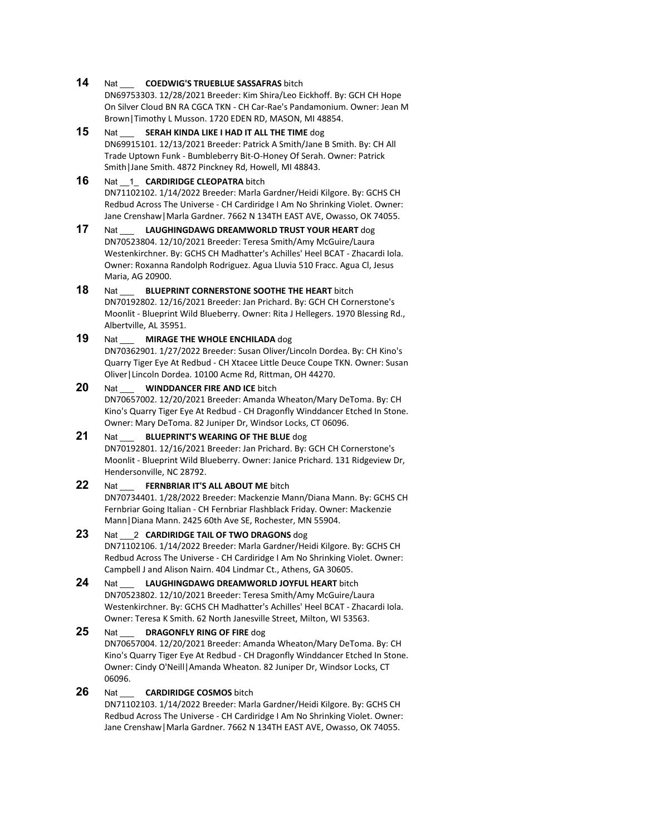#### **14** Nat \_\_\_ **COEDWIG'S TRUEBLUE SASSAFRAS** bitch

DN69753303. 12/28/2021 Breeder: Kim Shira/Leo Eickhoff. By: GCH CH Hope On Silver Cloud BN RA CGCA TKN - CH Car-Rae's Pandamonium. Owner: Jean M Brown|Timothy L Musson. 1720 EDEN RD, MASON, MI 48854.

**15** Nat \_\_\_ **SERAH KINDA LIKE I HAD IT ALL THE TIME** dog DN69915101. 12/13/2021 Breeder: Patrick A Smith/Jane B Smith. By: CH All Trade Uptown Funk - Bumbleberry Bit-O-Honey Of Serah. Owner: Patrick Smith|Jane Smith. 4872 Pinckney Rd, Howell, MI 48843.

#### **16** Nat \_\_1\_ **CARDIRIDGE CLEOPATRA** bitch

DN71102102. 1/14/2022 Breeder: Marla Gardner/Heidi Kilgore. By: GCHS CH Redbud Across The Universe - CH Cardiridge I Am No Shrinking Violet. Owner: Jane Crenshaw|Marla Gardner. 7662 N 134TH EAST AVE, Owasso, OK 74055.

- **17** Nat \_\_\_ **LAUGHINGDAWG DREAMWORLD TRUST YOUR HEART** dog DN70523804. 12/10/2021 Breeder: Teresa Smith/Amy McGuire/Laura Westenkirchner. By: GCHS CH Madhatter's Achilles' Heel BCAT - Zhacardi Iola. Owner: Roxanna Randolph Rodriguez. Agua Lluvia 510 Fracc. Agua Cl, Jesus Maria, AG 20900.
- **18** Nat \_\_\_ **BLUEPRINT CORNERSTONE SOOTHE THE HEART** bitch DN70192802. 12/16/2021 Breeder: Jan Prichard. By: GCH CH Cornerstone's Moonlit - Blueprint Wild Blueberry. Owner: Rita J Hellegers. 1970 Blessing Rd., Albertville, AL 35951.

### **19** Nat **MIRAGE THE WHOLE ENCHILADA** dog

DN70362901. 1/27/2022 Breeder: Susan Oliver/Lincoln Dordea. By: CH Kino's Quarry Tiger Eye At Redbud - CH Xtacee Little Deuce Coupe TKN. Owner: Susan Oliver|Lincoln Dordea. 10100 Acme Rd, Rittman, OH 44270.

#### **20** Nat \_\_\_ **WINDDANCER FIRE AND ICE** bitch

DN70657002. 12/20/2021 Breeder: Amanda Wheaton/Mary DeToma. By: CH Kino's Quarry Tiger Eye At Redbud - CH Dragonfly Winddancer Etched In Stone. Owner: Mary DeToma. 82 Juniper Dr, Windsor Locks, CT 06096.

**21** Nat \_\_\_ **BLUEPRINT'S WEARING OF THE BLUE** dog

DN70192801. 12/16/2021 Breeder: Jan Prichard. By: GCH CH Cornerstone's Moonlit - Blueprint Wild Blueberry. Owner: Janice Prichard. 131 Ridgeview Dr, Hendersonville, NC 28792.

#### **22** Nat \_\_\_ **FERNBRIAR IT'S ALL ABOUT ME** bitch

DN70734401. 1/28/2022 Breeder: Mackenzie Mann/Diana Mann. By: GCHS CH Fernbriar Going Italian - CH Fernbriar Flashblack Friday. Owner: Mackenzie Mann|Diana Mann. 2425 60th Ave SE, Rochester, MN 55904.

#### **23** Nat \_\_\_2 **CARDIRIDGE TAIL OF TWO DRAGONS** dog

DN71102106. 1/14/2022 Breeder: Marla Gardner/Heidi Kilgore. By: GCHS CH Redbud Across The Universe - CH Cardiridge I Am No Shrinking Violet. Owner: Campbell J and Alison Nairn. 404 Lindmar Ct., Athens, GA 30605.

#### **24** Nat \_\_\_ **LAUGHINGDAWG DREAMWORLD JOYFUL HEART** bitch DN70523802. 12/10/2021 Breeder: Teresa Smith/Amy McGuire/Laura

Westenkirchner. By: GCHS CH Madhatter's Achilles' Heel BCAT - Zhacardi Iola. Owner: Teresa K Smith. 62 North Janesville Street, Milton, WI 53563.

#### **25** Nat \_\_\_ **DRAGONFLY RING OF FIRE** dog

DN70657004. 12/20/2021 Breeder: Amanda Wheaton/Mary DeToma. By: CH Kino's Quarry Tiger Eye At Redbud - CH Dragonfly Winddancer Etched In Stone. Owner: Cindy O'Neill|Amanda Wheaton. 82 Juniper Dr, Windsor Locks, CT 06096.

#### **26** Nat \_\_\_ **CARDIRIDGE COSMOS** bitch

DN71102103. 1/14/2022 Breeder: Marla Gardner/Heidi Kilgore. By: GCHS CH Redbud Across The Universe - CH Cardiridge I Am No Shrinking Violet. Owner: Jane Crenshaw|Marla Gardner. 7662 N 134TH EAST AVE, Owasso, OK 74055.